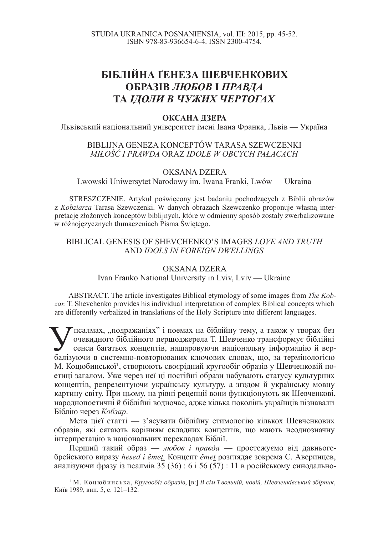# **<u>ЪІБЛІЙНА ГЕНЕЗА ШЕВЧЕНКОВИХ</u> <u><del>ОБРАЗІВ ЛЮБОВ І ПРАВДА</u>**</u></del> **ТА ІДОЛИ В ЧУЖИХ ЧЕРТОГАХ**

#### **ОКСАНА ЛЗЕРА**

Львівський національний університет імені Івана Франка, Львів — Україна

#### BIBLIJNA GENEZA KONCEPTÓW TARASA SZEWCZENKI *MIàOĝû I PRAWDA* ORAZ *IDOLE W OBCYCH PAàACACH*

## OKSANA DZERA

Lwowski Uniwersytet Narodowy im. Iwana Franki, Lwów — Ukraina

STRESZCZENIE. Artykuł poświecony jest badaniu pochodzących z Biblii obrazów z *Kobziarza* Tarasa Szewczenki. W danych obrazach Szewczenko proponuje wáasną interpretację złożonych konceptów biblijnych, które w odmienny sposób zostały zwerbalizowane w różnojęzycznych tłumaczeniach Pisma Świętego.

### BIBLICAL GENESIS OF SHEVCHENKO'S IMAGES *LOVE AND TRUTH*  AND *IDOLS IN FOREIGN DWELLINGS*

# OKSANA DZERA Ivan Franko National University in Lviv, Lviv — Ukraine

ABSTRACT. The article investigates Biblical etymology of some images from *The Kobzar.* T. Shevchenko provides his individual interpretation of complex Biblical concepts which are differently verbalized in translations of the Holy Scripture into different languages.

**X**псалмах, "подражаніях" і поемах на біблійну тему, а також у творах без очевидного біблійного першоджерела Т. Шевченко трансформує біблійні сенси багатьох концептів, нашаровуючи національну інформацію й вербалізуючи в с тсалмах, "подражаніях" і поемах на біблійну тему, а також у творах без очевидного біблійного першоджерела Т. Шевченко трансформує біблійні сенси багатьох концептів, нашаровуючи національну інформацію й вер-М. Коцюбинської<sup>1</sup>, створюють своєрідний кругообіг образів у Шевченковій поетиці загалом. Уже через неї ці постійні образи набувають статусу культурних концептів, репрезентуючи українську культуру, а згодом й українську мовну картину світу. При цьому, на рівні рецепції вони функціонують як Шевченкові, народнопоетичні й біблійні водночас, адже кілька поколінь українців пізнавали Біблію через Кобзар.

Мета цієї статті — з'ясувати біблійну етимологію кількох Шевченкових образів, які сягають корінням складних концептів, що мають неоднозначну інтерпретацію в національних перекладах Біблії.

Перший такий образ — *любов і правда* — простежуємо від давньогебрейського виразу *hesed i ĕmet.* Концепт *ěmet* розглядає зокрема С. Аверинцев, аналізуючи фразу із псалмів  $35 (36) : 6 i 56 (57) : 11$  в російському синодально-

<sup>&</sup>lt;sup>1</sup> М. Коцюбинська, *Кругообіг образів*, [в:] *В сім'ї вольній, новій, Шевченківський збірник*, Київ 1989, вип. 5, с. 121–132.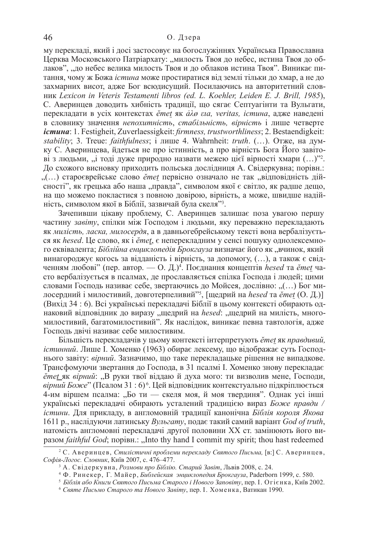му перекладі, який і досі застосовує на богослужіннях Українська Православна Церква Московського Патріархату: "милость Твоя до небес, истина Твоя до облаков", "до небес велика милость Твоя и до облаков истина Твоя". Виникає питання, чому ж Божа *істина* може простиратися від землі тільки до хмар, а не до захмарних висот, адже Бог всюдисущий. Посилаючись на авторитетний словɧɢɤ *Lexicon in Veteris Testamenti libros (ed. L. Koehler, Leiden E. J. Brill, 1985*), С. Аверинцев доводить хибність традиції, що сягає Септуагінти та Вульгати, перекладати в усіх контекстах *ěmet* як *å* $\lambda \emptyset$  *εια, veritas, істина*, адже наведені в словнику значення *непохитність*, *стабільність*, вірність і лише четверте iстина: 1. Festigheit, Zuverlaessigkeit: *firmness, trustworthliness*; 2. Bestaendigkeit: *stability*; 3. Treue: *faithfulness*; *i* лише 4. Wahrnheit: *truth*. (...). Отже, на думку С. Аверинцева, йдеться не про істинність, а про вірність Бога Його завітові з людьми, "і тоді дуже природно назвати межею цієї вірності хмари (…)"<sup>2</sup>. До схожого висновку приходить польська дослідниця А. Свідеркувна; порівн.: "(...) староєврейське слово *ěmet* первісно означало не так "відповідність дійсності", як грецька або наша "правда", символом якої є світло, як радше дещо, на що можемо покластися з повною довірою, вірність, а може, швидше надійність, символом якої в Біблії, зазвичай була скеля"<sup>3</sup>.

Зачепивши цікаву проблему, С. Аверинцев залишає поза увагою першу частину завіту, спілки між Господом і людьми, яку переважно перекладають як милість, ласка, милосердя, а в давньогебрейському тексті вона вербалізується як *hesed*. Це слово, як *і ётеt*, є неперекладним у сенсі пошуку однолексемного еквівалента; *Біблійна енциклопедія Брокгауза* визначає його як "вчинок, який винагороджує когось за відданість і вірність, за допомогу, (…), а також є свідченням любові" (пер. автор. — О. Д.)<sup>4</sup>. Поєднання концептів hesed та *ěmet* часто вербалізується в псалмах, де прославляється спілка Госпола і людей: цими словами Господь називає себе, звертаючись до Мойсея, дослівно: "(…) Бог милосердний і милостивий, довготерпеливий<sup>»5</sup>, [щедрий на hesed та ĕmet (О. Д.)] (Вихіл 34 : 6). Всі українські переклалачі Біблії в цьому контексті обирають однаковий відповідник до виразу "щедрий на hesed: "щедрий на милість, многомилостивий, багатомилостивий". Як наслідок, виникає певна тавтологія, адже Господь двічі називає себе милостивим.

Більшість перекладачів у цьому контексті інтерпретують *ěmet як правдивий*. *iстинний*. Лише I. Хоменко (1963) обирає лексему, що відображає суть Господнього завіту: *вірний*. Зазначимо, що таке перекладацьке рішення не випадкове. Трансфомуючи звертання до Господа, в 31 псалмі І. Хоменко знову перекладає *ĕmet* як *вірний*: "В руки твої віддаю й духа мого: ти визволив мене, Господи, вірний Боже" (Псалом 31 : 6)<sup>6</sup>. Цей відповідник контекстуально підкріплюється 4-им віршем псалма: "Бо ти — скеля моя, й моя твердиня". Однак усі інші українські перекладачі обирають усталений традицією вираз Боже правди / *iстини*. Для прикладу, в англомовній традиції канонічна Біблія короля Якова 1611 р., наслідуючи латинську Вульгату, подає такий самий варіант God of truth, натомість англомовні перекладачі другої половини XX ст. замінюють його виразом *faithful God*; порівн.: "Into thy hand I commit my spirit; thou hast redeemed

<sup>&</sup>lt;sup>2</sup> С. Аверинцев, Стилістичні проблеми перекладу Святого Письма, [в:] С. Аверинцев, Софія-Логос. Словник, Київ 2007, с. 476–477.

<sup>&</sup>lt;sup>3</sup> А. Свідеркувна, Розмови про Біблію. Старий Завіт, Львів 2008, с. 24.

<sup>&</sup>lt;sup>4</sup> Ф. Ринекер, Г. Майер, *Библейская энциклопедия Брокгауза*, Paderborn 1999, с. 580.

<sup>&</sup>lt;sup>5</sup> Біблія або Книги Святого Письма Старого і Нового Заповіту, пер. І. Огієнка, Київ 2002.

<sup>&</sup>lt;sup>6</sup> Святе Письмо Старого та Нового Завіту, пер. І. Хоменка, Ватикан 1990.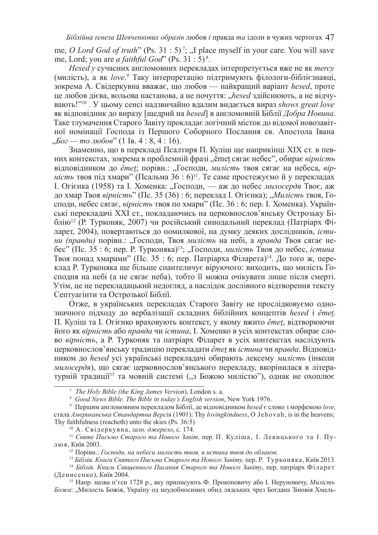me, *O Lord God of truth*" (Ps. 31:5)<sup>7</sup>; "I place myself in your care. You will save me, Lord; you are *a faithful God*" (Ps. 31 : 5) <sup>8</sup> .

*Hesed v* сучасних англомовних перекладах інтерпретується вже не як *mercy* (милість), а як love.<sup>9</sup> Таку інтерпретацію підтримують філологи-біблієзнавці, зокрема А. Свідеркувна вважає, що любов — найкращий варіант *hesed*, проте це любов дієва, вольова настанова, а не почуття: "*hesed* здійснюють, а не відчувають!"<sup>10</sup>. У цьому сенсі надзвичайно вдалим видається вираз shows great love як відповідник до виразу [щедрий на hesed] в англомовній Біблії Добра Новина. Таке тлумачення Старого Завіту прокладає логічний місток до відомої новозавітної номінації Господа із Першого Соборного Послання св. Апостола Івана  $\mu_b$ *Бог — то любов*" (1 Ів. 4 : 8, 4 : 16).

Знаменно, що в перекладі Псалтиря П. Куліш ще наприкінці XIX ст. в певних контекстах, зокрема в проблемній фразі "ěmet сягає небес", обирає вірність відповідником до *ěmet*; порівн.: "Господи, милість твоя сягає на небеса, вірність твоя під хмари" (Псальма 36 : 6)<sup>11</sup>. Те саме простежуємо й у перекладах I. Огієнка (1958) та І. Хоменка: "Господи, — аж до небес *милосердя* Твоє, аж до хмар Твоя *вірність*" (Пс. 35 (36) : 6; переклад І. Огієнка); "Милість твоя, Господи, небес сягає, *вірність* твоя по хмари" (Пс. 36 : 6; пер. І. Хоменка). Українські перекладачі XXI ст., покладаючись на церковнослов'янську Острозьку Біблію<sup>12</sup> (Р. Турконяк, 2007) чи російський синодальний переклад (Патріарх Філарет, 2004), повертаються до помилкової, на думку деяких дослідників, *істини (правди)* порівн.: "Господи, Твоя милість на небі, а правда Твоя сягає небес" (Пс. 35 : 6; пер. Р. Турконяка)<sup>13</sup>; "Господи, милість Твоя до небес, істина Твоя понад хмарами" (Пс. 35 : 6; пер. Патріарха Філарета)<sup>14</sup>. До того ж, переклад Р. Турконяка ще більше спантеличує віруючого: виходить, що милість Господня на небі (а не сягає неба), тобто її можна очікувати лише після смерті. Утім, це не перекладацький недогляд, а наслідок дослівного відтворення тексту Септуагінти та Острозької Біблії.

Отже, в українських переклалах Старого Завіту не прослідковуємо однозначного підходу до вербалізації складних біблійних концептів hesed *i* ěmet. П. Куліш та І. Огієнко враховують контекст, у якому вжито *ěmet*, відтворюючи його як вірність або правда чи *істина*, І. Хоменко в усіх контекстах обирає слово *вірність*, а Р. Турконяк та патріарх Філарет в усіх контекстах наслілують церковнослов'янську традицію перекладати *ěmet* як *істина* чи правда. Відповідником до *hesed* усі українські перекладачі обирають лексему *милість* (інколи *милосердя*), що сягає церковнослов'янського перекладу, вкорінилася в літературній тралиції<sup>15</sup> та мовній системі ("з Божою милістю"), однак не охоплює

<sup>10</sup> А. Свідеркувна, зазн. джерело, с. 174.

<sup>7</sup>*The Holy Bible (the King James Version*), London s. a.

<sup>8</sup> *Good News Bible. The Bible in today's English version*, New York 1976.

<sup>&</sup>lt;sup>9</sup> Першим англомовним перекладом Біблії, де відповідником *hesed* є слово з морфемою love, стала Американська Стандартна Версія (1901): Thy lovingkindness, O Jehovah, is in the heavens; Thy faithfulness (reacheth) unto the skies (Ps. 36:5)

<sup>&</sup>lt;sup>11</sup> Святе Письмо Старого та Нового Завіт, пер. П. Куліша, І. Левицького та І. Пулюя, Київ 2003.

<sup>&</sup>lt;sup>12</sup> Порівн.: Господи, на небеси милость твоя, и истина твоя до облаков.

<sup>&</sup>lt;sup>13</sup> Біблія. Книги Святого Письма Старого та Нового Завіту, пер. Р. Турконяка, Київ 2013.

<sup>&</sup>lt;sup>14</sup> Біблія. Книги Священного Писання Старого та Нового Завіту, пер. патріарх Філарет (Денисенко), Київ 2004.

<sup>&</sup>lt;sup>15</sup> Напр. назва п'єси 1728 р., яку приписують Ф. Прокоповичу або І. Неруновичу, *Милість* Божа: "Милость Божія, Україну од неудобносимих обид лядських чрез Богдана Зіновія Хмель-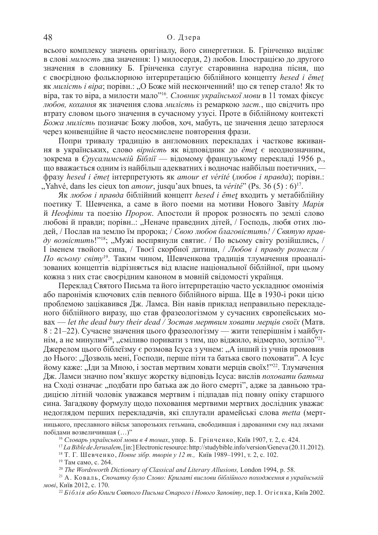всього комплексу значень оригіналу, його синергетики. Б. Грінченко виділяє в слові *милость* два значення: 1) милосердя, 2) любов. Ілюстрацією до другого значення в словнику Б. Грінченка слугує старовинна народна пісня, що  $\epsilon$  своєрідною фольклорною інтерпретацією біблійного концепту hesed *i* ěmet як *милість і віра*; порівн.: "О Боже мій несконченний! що ся тепер стало! Як то віра, так то віра, а милости мало<sup>216</sup>. *Словник української мови* в 11 томах фіксує *любов, кохання як значення слова милість* із ремаркою заст., що свідчить про втрату словом цього значення в сучасному узусі. Проте в біблійному контексті Божа милість позначає Божу любов, хоч, мабуть, це значення дещо затерлося через конвенційне й часто неосмислене повторення фрази.

Попри тривалу традицію в англомовних перекладах і часткове вживання в українських, слово вірність як відповідник до *ěmet* є неоднозначним, зокрема в *Єрусалимській Біблії* — відомому французькому перекладі 1956 р., що вважається одним із найбільш адекватних і водночас найбільш поетичних, фразу hesed *i ĕmet* iнтерпретують як amour et vérité (любов *i правда*); порівн.: ", Yahvé, dans les cieux ton *amour*, jusqu'aux bnues, ta *vérité*" (Ps. 36 (5) : 6)<sup>17</sup>.

Як любов *і правда* біблійний концепт hesed *і ěmet* входить у метабіблійну поетику Т. Шевченка, а саме в його поеми на мотиви Нового Завіту Марія й *Неофіти* та поезію *Пророк*. Апостоли й пророк розносять по землі слово любові й правди; порівн..: "Неначе праведних дітей, / Господь, любя отих людей, / Послав на землю їм пророка; / Свою любов благовістить! / Святую правду возвістить!"<sup>18</sup>; "Мужі воспрянули святиє. / По всьому світу розійшлись, /  $I$  іменем твойого сина, / Твоєї скорбної дитини, / Любов і правду рознесли / По всьому світу<sup>19</sup>. Таким чином, Шевченкова традиція тлумачення проаналізованих концептів відрізняється від власне національної біблійної, при цьому кожна з них стає своєрілним каноном в мовній свіломості українця.

Переклад Святого Письма та його інтерпретацію часто ускладнює омонімія або паронімія ключових слів певного біблійного вірша. Ще в 1930-і роки цією проблемою зацікавився Дж. Ламса. Він навів приклад неправильно перекладеного біблійного виразу, що став фразеологізмом у сучасних європейських мо-<u>вах</u> — let the dead bury their dead / Зостав мертвим ховати меријв своїх (Матв.  $8: 21-22$ ). Сучасне значення цього фразеологізму — жити теперішнім і майбутнім, а не минулим<sup>20</sup>, "сміливо поривати з тим, що віджило, відмерло, зотліло"<sup>21</sup>. Джерелом цього біблеїзму є розмова Ісуса з учнем: "А інший із учнів промовив до Нього: ... Дозволь мені. Госполи, перше піти та батька свого поховати". А Ісус йому каже: "Іди за Мною, і зостав мертвим ховати мерців своїх!''22. Тлумачення Дж. Ламси значно пом'якшує жорстку відповідь Ісуса: вислів поховати батька на Сході означає "подбати про батька аж до його смерті", адже за давньою традицією літній чоловік уважався мертвим і підпадав під повну опіку старшого сина. Загадкову формулу щодо поховання мертвими мертвих дослідник уважає недоглядом перших перекладачів, які сплутали арамейські слова *metta* (мерт-

ницького, преславного військ запорозьких гетьмана, свободившая і дарованими єму над ляхами побідами возвеличившая (…)"

<sup>18</sup> Т. Г. Шевченко, *Повне зібр. творів у 12 т.*, Київ 1989–1991, т. 2, с. 102. <sup>19</sup> Там само, с. 264.

<sup>20</sup> *The Wordsworth Dictionary of Classical and Literary Allusions, London 1994, p. 58.* 

<sup>22</sup> Біблія або Книги Святого Письма Старого *і* Нового Заповіту, пер. І. Огієнка, Київ 2002.

<sup>&</sup>lt;sup>16</sup> Словарь української мови в 4 томах, упор. Б. Грінченко, Київ 1907, т. 2, с. 424.

<sup>17</sup> *La Bible de Jerusalem*, [in:] Electronic resource: http://studybible.info/version/Geneva (20.11.2012).

<sup>&</sup>lt;sup>21</sup> А. Коваль, *Спочатку було Слово: Крилаті вислови біблійного походження в українській мові*, Київ 2012, с. 170.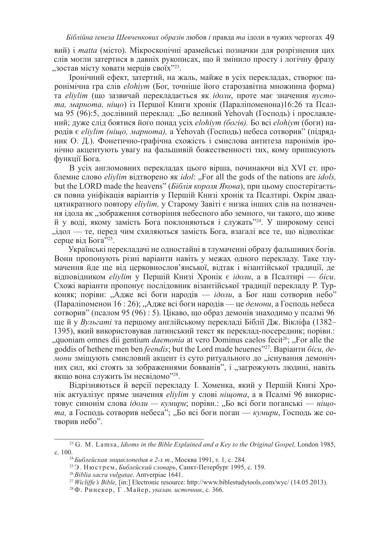вий) і *matta* (місто). Мікроскопічні арамейські позначки для розрізнення цих слів могли затертися в давніх рукописах, що й змінило просту і логічну фразу , зостав місту ховати мерців своїх"<sup>23</sup>.

Гронічний ефект, затертий, на жаль, майже в усіх перекладах, створює паронімічна гра слів *elohiym* (Бог, точніше його старозавітна множинна форма) та *elivlim* (що зазвичай перекладається як *ідоли*, проте має значення *пустота, марнота, нішо*) із Першої Книги хронік (Параліпоменона)16:26 та Псалма 95 (96):5, дослівний переклад: "Бо великий Yehovah (Господь) і прославлений; дуже слід боятися його понад усіх *elohiym (богів)*. Бо всі *elohiym* (боги) народів є elivlim (ніщо, марнота), а Yehovah (Господь) небеса сотворив" (підрядник О. Д.). Фонетично-графічна схожість і смислова антитеза паронімів іронічно акцентують увагу на фальшивій божественності тих, кому приписують функції Бога.

В усіх англомовних перекладах цього вірша, починаючи від XVI ст. проблемне слово *eliylim* відтворено як *idol*: "For all the gods of the nations are *idols*, but the LORD made the heavens" (*Біблія короля Якова*), при цьому спостерігається повна уніфікація варіантів у Першій Книзі хронік та Псалтирі. Окрім двадцятикратного повтору eliylim, у Старому Завіті є низка інших слів на позначення ідола як "зображення сотворіння небесного або земного, чи такого, що живе й у воді, якому замість Бога поклоняються і служать"<sup>24</sup>. У широкому сенсі "ндол — те, перед чим схиляються замість Бога, взагалі все те, що відволікає серце від Бога"<sup>25</sup>.

Українські перекладачі не одностайні в тлумаченні образу фальшивих богів. Вони пропонують різні варіанти навіть у межах одного перекладу. Таке тлумачення йде ще від церковнослов'янської, відтак і візантійської традиції, де відповідником *eliylim* у Першій Книзі Хронік є *ідоли*, а в Псалтирі — *біси*. Схожі варіанти пропонує послідовник візантійської традиції перекладу Р. Турконяк; порівн: "Адже всі боги народів — *ідоли*, а Бог наш сотворив небо<sup>"</sup> (Параліпоменон 16 : 26); "Адже всі боги народів — це демони, а Господь небеса сотворив" (псалом 95 (96) : 5). Цікаво, що образ демонів знаходимо у псалмі 96 ще й у *Вульгаті* та першому англійському перекладі Біблії Дж. Вікліфа (1382– 1395), який використовував латинський текст як переклад-посередник; порівн.: ", quoniam omnes dii gentium *daemonia* at vero Dominus caelos fecit<sup>26</sup>; "For alle the goddis of hethene men ben *feendis*; but the Lord made heuenes"<sup>27</sup>. Варіанти біси, де*мони* змішують смисловий акцент із суто ритуального до "існування демонічних сил, які стоять за зображеннями бовванів", і "загрожують людині, навіть якщо вона служить їм несвідомо"28.

Відрізняються й версії перекладу І. Хоменка, який у Першій Книзі Хронік актуалізує пряме значення *eliylim* у слові нішота, а в Псалмі 96 використовує синонім слова *ідоли* — кумири; порівн.: "Бо всі боги поганські — нішо $ma$ , а Господь сотворив небеса"; "Бо всі боги поган — *кумири*, Господь же сотворив небо".

<sup>&</sup>lt;sup>23</sup> G. M. Lamsa, *Idioms in the Bible Explained and a Key to the Original Gospel*, London 1985, c. 100.

<sup>&</sup>lt;sup>24</sup> Библейская энциклопедия в 2-х т., Москва 1991, т. 1, с. 284.

<sup>&</sup>lt;sup>25</sup>Э. Нюстрем, *Библейский словарь*, Санкт-Петербург 1995, с. 159.

<sup>26</sup>*Biblia sacra vulgatae,* Antverpiae 1641.

<sup>27</sup>*Wicliffe's Bible,* [in:] Electronic resource: http://www.biblestudytools.com/wyc/ (14.05.2013).

<sup>&</sup>lt;sup>28</sup> Ф. Ринекер, Г. Майер, указан. источник, с. 366.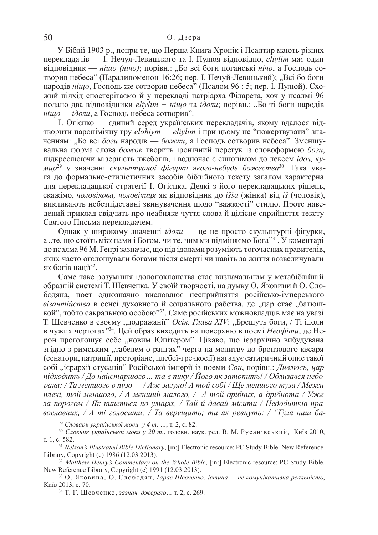У Біблії 1903 р., попри те, що Перша Книга Хронік і Псалтир мають різних перекладачів — І. Нечуя-Левицького та І. Пулюя відповідно, *eliylim* має один відповідник — *ніщо (нічо)*; порівн.: "Бо всі боги поганські *нічо*, а Господь сотворив небеса" (Паралипоменон 16:26; пер. І. Нечуй-Левицький); "Всі бо боги народів ніщо, Господь же сотворив небеса" (Псалом 96 : 5; пер. І. Пулюй). Схожий підхід спостерігаємо й у перекладі патріарха Філарета, хоч у псалмі 96 подано два відповідники *elivlim – нішо* та *ідоли*; порівн.: "Бо ті боги народів *нішо — ідоли*, а Господь небеса сотворив".

I. Огієнко — єдиний серед українських перекладачів, якому вдалося відтворити паронімічну гру elohiym — eliylim і при цьому не "пожертвувати" значенням: "Бо всі боги народів — божки, а Господь сотворив небеса". Зменшувальна форма слова божок творить *іронічний перегук* із словоформою боги, підкреслюючи мізерність лжебогів, і водночас є синонімом до лексем *ідол*, ку*мир<sup>29</sup> у значенні скульптурної фігурки якого-небудь божества<sup>зо</sup>. Така ува*га до формально-стилістичних засобів біблійного тексту загалом характерна для перекладацької стратегії І. Огієнка. Деякі з його перекладацьких рішень, скажімо, чоловікова, чоловічиця як відповідник до *іšša* (жінка) від іš (чоловік), викликають небезпідставні звинувачення щодо "важкості" стилю. Проте наведений приклад свідчить про неабияке чуття слова й цілісне сприйняття тексту Святого Письма перекладачем.

Однак у широкому значенні *ідоли* — це не просто скульптурні фігурки, а "те, що стоїть між нами і Богом, чи те, чим ми підміняємо Бога<sup>,,31</sup>. У коментарі до псалма 96 М. Генрі зазначає, що під ідолами розуміють тогочасних правителів, яких часто оголошували богами після смерті чи навіть за життя возвеличували як богів нації<sup>32</sup>.

Саме таке розуміння ідолопоклонства стає визначальним у метабіблійній образній системі Т. Шевченка. У своїй творчості, на думку О. Яковини й О. Слободяна, поет однозначно висловлює несприйняття російсько-імперського *візантійства* в сенсі духовного й соціального рабства, де "цар стає "батюшкой", тобто сакральною особою"<sup>33</sup>. Саме російських можновладців має на увазі T. Шевченко в своєму "подражанії" Осія. Глава XIV: "Брешуть боги, / Ті ідоли в чужих чертогах<sup>, 34</sup>. Цей образ виходить на поверхню в поемі *Неофіти*, де Нерон проголошує себе новим Юпітером". Шкаво, що ієрархічно вибудувана згідно з римським "табелем о рангах" черга на молитву до бронзового кесаря (сенатори, патриції, преторіане, плебеї-гречкосії) нагадує сатиричний опис такої  $c$ обі "ієрархії стусанів" Російської імперії із поеми Сон, порівн.: Дивлюсь, цар *nidxodumь* / До найстаршого... та в пику / Його як затопить! / Облизався небо*pака: / Та меншого в пузо — / Аж загуло! А той собі / Ще меншого туза / Межи n*дечі, той меншого, / *A* менший малого, / *A* той дрібних, а дрібнота / Уже за порогом / Як кинеться по улицях, / Тай й давай місити / Недобитків пра- $\alpha$ *вославних, / А ті голосити; / Та верещать; та як ревнуть: / "Гуля наш ба-*

<sup>29</sup> Словарь української мови у 4 m. ..., т. 2, с. 82.

<sup>30</sup> Словник української мови у 20 т., головн. наук. ред. В. М. Русанівський, Київ 2010, т. 1, с. 582.

<sup>31</sup>*Nelson's Illustrated Bible Dictionary*, [in:] Electronic resource; PC Study Bible. New Reference Library, Copyright (c) 1986 (12.03.2013).

<sup>32</sup> Matthew Henry's Commentary on the Whole Bible, [in:] Electronic resource; PC Study Bible. New Reference Library, Copyright (c) 1991 (12.03.2013).

<sup>&</sup>lt;sup>33</sup> О. Яковина, О. Слободян, *Тарас Шевченко: істина* — не комунікативна реальність, Київ 2013, с. 70.

<sup>&</sup>lt;sup>34</sup> Т. Г. Шевченко, *зазнач. джерело...* т. 2, с. 269.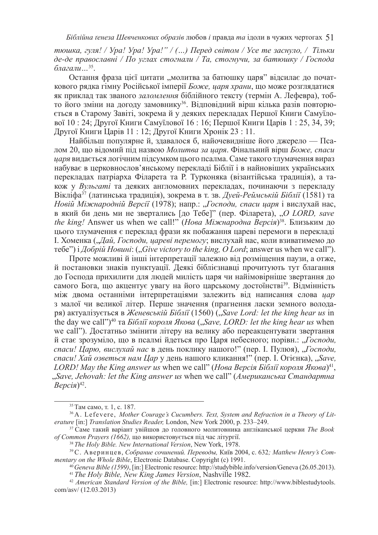$m$ *юшка, гуля! / Ура! Ура! Ура!" / (...) Перед світом / Усе те заснуло, / Тільки*  $\partial$ *e-* $\partial$ *e* православні / По углах стогнали / Та, стогнучи, за батюшку / Господа *благали* ...<sup>35</sup>.

Остання фраза цієї цитати "молитва за батюшку царя" відсилає до початкового рядка гімну Російської імперії Боже, царя храни, що може розглядатися як приклад так званого заломлення біблійного тексту (термін А. Лефевра), тобто його зміни на догоду замовнику<sup>з6</sup>. Відповідний вірш кілька разів повторюється в Старому Завіті, зокрема й у деяких перекладах Першої Книги Самуїлової 10 : 24; Другої Книги Самуїлової 16 : 16; Першої Книги Царів 1 : 25, 34, 39; Другої Книги Царів 11: 12; Другої Книги Хронік 23: 11.

Найбільш популярне й, здавалося б, найочевидніше його джерело — Псалом 20, що відомий під назвою *Молитва за царя*. Фінальний вірш Боже, спаси иаря видається логічним підсумком цього псалма. Саме такого тлумачення вираз набуває в церковнослов'янському перекладі Біблії і в найновіших українських перекладах патріарха Філарета та Р. Турконяка (візантійська традиція), а також у Вульгаті та деяких англомовних перекладах, починаючи з перекладу Вікліфа<sup>37</sup> (латинська традиція), зокрема в т. зв. Дуей-Реймській Біблії (1581) та *Новій Міжнародній Версії* (1978); напр.: "Господи, спаси царя і вислухай нас, в який би день ми не звертались [до Тебе]" (пер. Філарета), "O LORD, save *the king!* Answer us when we call!" (*Нова Міжнародна Версія*)<sup>38</sup>. Близьким до цього тлумачення є переклад фрази як побажання цареві перемоги в перекладі I. Хоменка ("Дай, Господи, цареві перемогу; вислухай нас, коли взиватимемо до  $\tau$ ебе") і *Добрій Новині:* ("*Give victory to the king, O Lord*; answer us when we call").

Проте можливі й інші інтерпретації залежно від розміщення паузи, а отже, й постановки знаків пунктуації. Деякі біблієзнавці прочитують тут благання до Господа прихилити для людей милість царя чи найімовірніше звертання до самого Бога, що акцентує увагу на його царському достоїнстві<sup>39</sup>. Відмінність між двома останніми інтерпретаціями залежить від написання слова *цар* з малої чи великої літер. Перше значення (прагнення ласки земного володаpя) актуалізується в Женевській Біблії (1560) ("Save Lord: let the king hear us in the day we call")<sup>40</sup> та *Біблії короля Якова* ("*Save, LORD: let the king hear us* when we call"). Достатньо змінити літеру на велику або переакцентувати звертання й стає зрозуміло, що в псалмі йлеться про Царя небесного; порівн.: *"Господи*. *cnacu! Царю, вислухай нас* в день поклику нашого!" (пер. І. Пулюя), "Господи, *cnacu! Хай озветься нам Цар* у день нашого кликання!" (пер. І. Огієнка), "Save, *LORD! May the King answer us when we call" (Нова Версія Біблії короля Якова)*<sup>41</sup>, <sub>"Save, Jehovah: let the King answer us when we call" (Американська Стандартна</sub> *Bерсія*)<sup>42</sup>.

<sup>&</sup>lt;sup>35</sup> Там само, т. 1, с. 187.

<sup>36</sup> A. Lefevere, *Mother Courage's Cucumbers. Text, System and Refraction in a Theory of Literature* [in:] *Translation Studies Reader,* London, New York 2000, p. 233–249.

<sup>&</sup>lt;sup>37</sup> Саме такий варіант увійшов до головного молитовника англіканської церкви *The Book of Common Prayers (1662), що використовується під час літургії.* 

<sup>38</sup>*The Holy Bible. New International Version*, New York, 1978.

<sup>&</sup>lt;sup>39</sup>С. Аверинцев, *Собрание сочинений. Переводы, Київ* 2004, с. 632; Matthew Henry's Com*mentary on the Whole Bible*, Electronic Database. Copyright (c) 1991.

<sup>40</sup>*Geneva Bible (1599)*, [in:] Electronic resource: http://studybible.info/version/Geneva (26.05.2013). <sup>41</sup>*The Holy Bible, New King James Version*, Nashville 1982.

<sup>42</sup> *American Standard Version of the Bible,* [in:] Electronic resource: http://www.biblestudytools. com/asv/ (12.03.2013)